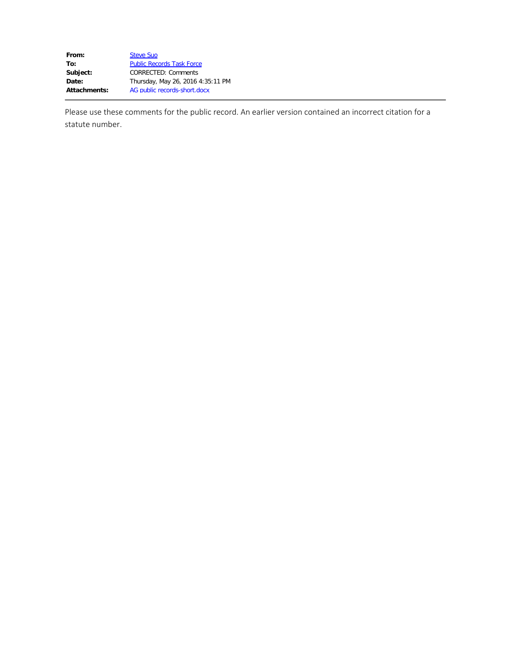| <b>Steve Suo</b>                  |
|-----------------------------------|
| <b>Public Records Task Force</b>  |
| <b>CORRECTED: Comments</b>        |
| Thursday, May 26, 2016 4:35:11 PM |
| AG public records-short.docx      |
|                                   |

Please use these comments for the public record. An earlier version contained an incorrect citation for a statute number.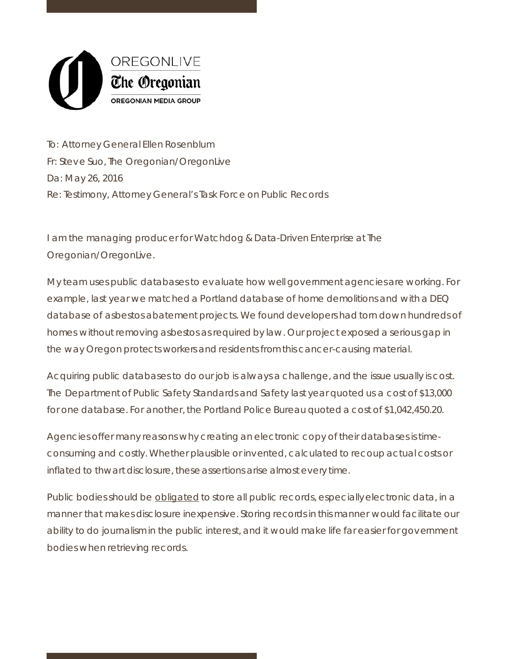

To: Attorney General Ellen Rosenblum Fr: Steve Suo, The Oregonian/OregonLive Da: May 26, 2016 Re: Testimony, Attorney General's Task Force on Public Records

I am the managing producer for Watchdog & Data-Driven Enterprise at The Oregonian/OregonLive.

My team uses public databases to evaluate how well government agencies are working. For example, last year we matched a Portland database of home demolitions and with a DEQ database of asbestos abatement projects. We found developers had torn down hundreds of homes without removing asbestos as required by law. Our project exposed a serious gap in the way Oregon protects workers and residents from this cancer-causing material.

Acquiring public databases to do our job is always a challenge, and the issue usually is cost. The Department of Public Safety Standards and Safety last year quoted us a cost of \$13,000 for one database. For another, the Portland Police Bureau quoted a cost of \$1,042,450.20.

Agencies offer many reasons why creating an electronic copy of their databases is timeconsuming and costly. Whether plausible or invented, calculated to recoup actual costs or inflated to thwart disclosure, these assertions arise almost every time.

Public bodies should be obligated to store all public records, especially electronic data, in a manner that makes disclosure inexpensive. Storing records in this manner would facilitate our ability to do journalism in the public interest, and it would make life far easier for government bodies when retrieving records.